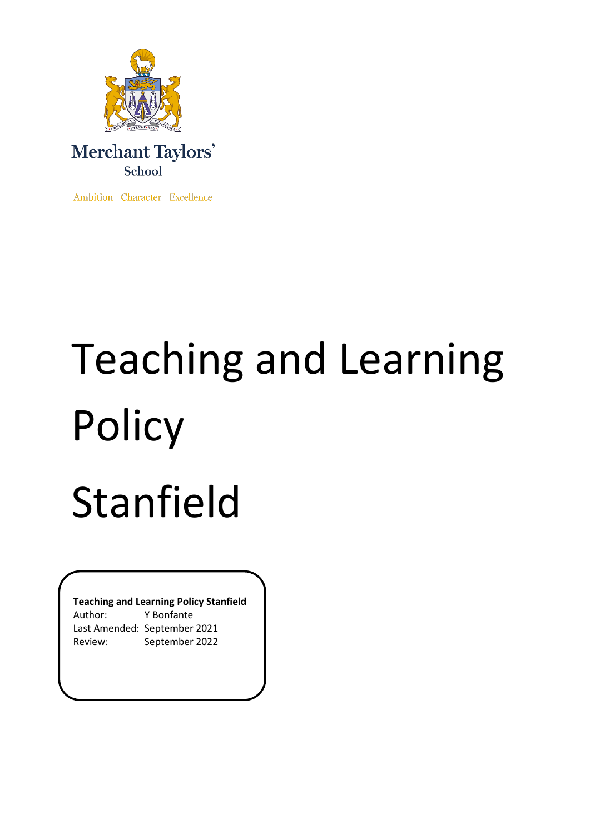



Ambition | Character | Excellence

# Teaching and Learning Policy Stanfield

**Teaching and Learning Policy Stanfield**

Author: Y Bonfante Last Amended: September 2021 Review: September 2022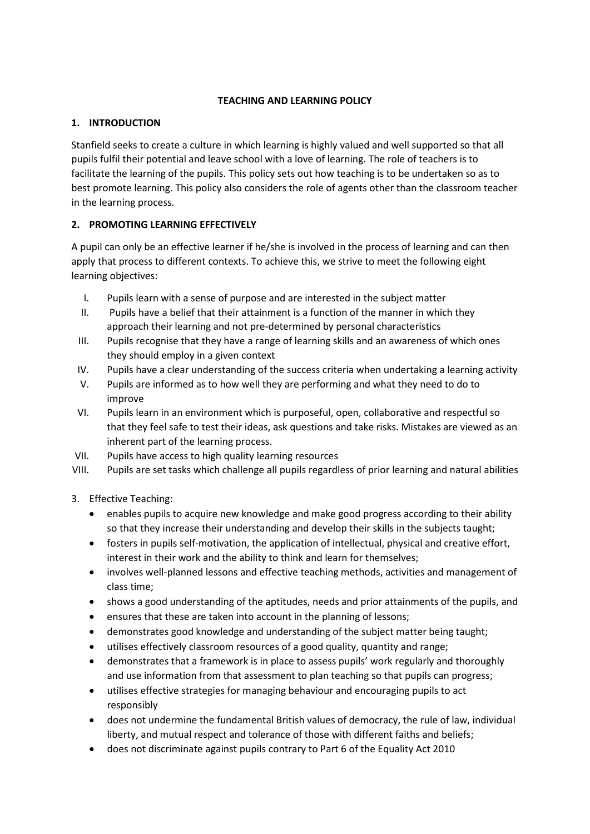# **TEACHING AND LEARNING POLICY**

## **1. INTRODUCTION**

Stanfield seeks to create a culture in which learning is highly valued and well supported so that all pupils fulfil their potential and leave school with a love of learning. The role of teachers is to facilitate the learning of the pupils. This policy sets out how teaching is to be undertaken so as to best promote learning. This policy also considers the role of agents other than the classroom teacher in the learning process.

# **2. PROMOTING LEARNING EFFECTIVELY**

A pupil can only be an effective learner if he/she is involved in the process of learning and can then apply that process to different contexts. To achieve this, we strive to meet the following eight learning objectives:

- I. Pupils learn with a sense of purpose and are interested in the subject matter
- II. Pupils have a belief that their attainment is a function of the manner in which they approach their learning and not pre-determined by personal characteristics
- III. Pupils recognise that they have a range of learning skills and an awareness of which ones they should employ in a given context
- IV. Pupils have a clear understanding of the success criteria when undertaking a learning activity
- V. Pupils are informed as to how well they are performing and what they need to do to improve
- VI. Pupils learn in an environment which is purposeful, open, collaborative and respectful so that they feel safe to test their ideas, ask questions and take risks. Mistakes are viewed as an inherent part of the learning process.
- VII. Pupils have access to high quality learning resources
- VIII. Pupils are set tasks which challenge all pupils regardless of prior learning and natural abilities
- 3. Effective Teaching:
	- enables pupils to acquire new knowledge and make good progress according to their ability so that they increase their understanding and develop their skills in the subjects taught;
	- fosters in pupils self-motivation, the application of intellectual, physical and creative effort, interest in their work and the ability to think and learn for themselves;
	- involves well-planned lessons and effective teaching methods, activities and management of class time;
	- shows a good understanding of the aptitudes, needs and prior attainments of the pupils, and
	- ensures that these are taken into account in the planning of lessons;
	- demonstrates good knowledge and understanding of the subject matter being taught;
	- utilises effectively classroom resources of a good quality, quantity and range;
	- demonstrates that a framework is in place to assess pupils' work regularly and thoroughly and use information from that assessment to plan teaching so that pupils can progress;
	- utilises effective strategies for managing behaviour and encouraging pupils to act responsibly
	- does not undermine the fundamental British values of democracy, the rule of law, individual liberty, and mutual respect and tolerance of those with different faiths and beliefs;
	- does not discriminate against pupils contrary to Part 6 of the Equality Act 2010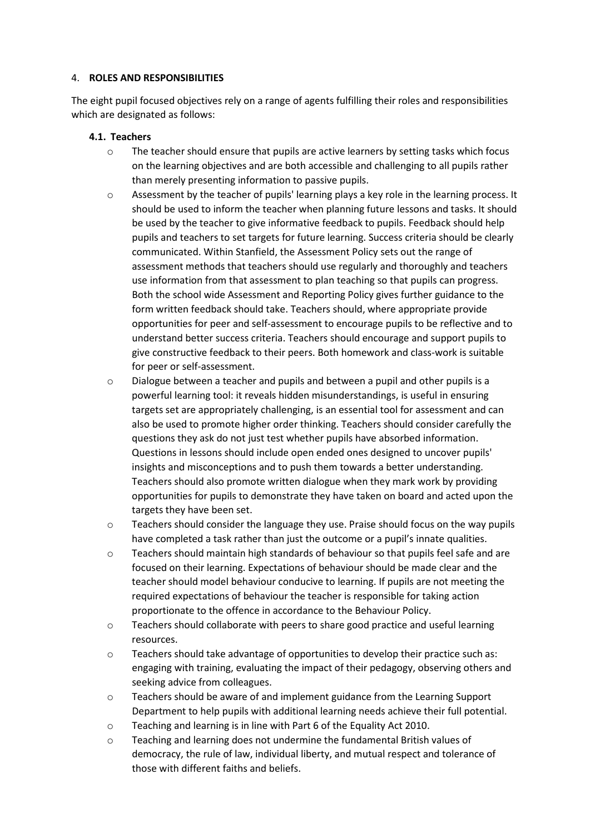#### 4. **ROLES AND RESPONSIBILITIES**

The eight pupil focused objectives rely on a range of agents fulfilling their roles and responsibilities which are designated as follows:

#### **4.1. Teachers**

- o The teacher should ensure that pupils are active learners by setting tasks which focus on the learning objectives and are both accessible and challenging to all pupils rather than merely presenting information to passive pupils.
- o Assessment by the teacher of pupils' learning plays a key role in the learning process. It should be used to inform the teacher when planning future lessons and tasks. It should be used by the teacher to give informative feedback to pupils. Feedback should help pupils and teachers to set targets for future learning. Success criteria should be clearly communicated. Within Stanfield, the Assessment Policy sets out the range of assessment methods that teachers should use regularly and thoroughly and teachers use information from that assessment to plan teaching so that pupils can progress. Both the school wide Assessment and Reporting Policy gives further guidance to the form written feedback should take. Teachers should, where appropriate provide opportunities for peer and self-assessment to encourage pupils to be reflective and to understand better success criteria. Teachers should encourage and support pupils to give constructive feedback to their peers. Both homework and class-work is suitable for peer or self-assessment.
- o Dialogue between a teacher and pupils and between a pupil and other pupils is a powerful learning tool: it reveals hidden misunderstandings, is useful in ensuring targets set are appropriately challenging, is an essential tool for assessment and can also be used to promote higher order thinking. Teachers should consider carefully the questions they ask do not just test whether pupils have absorbed information. Questions in lessons should include open ended ones designed to uncover pupils' insights and misconceptions and to push them towards a better understanding. Teachers should also promote written dialogue when they mark work by providing opportunities for pupils to demonstrate they have taken on board and acted upon the targets they have been set.
- o Teachers should consider the language they use. Praise should focus on the way pupils have completed a task rather than just the outcome or a pupil's innate qualities.
- o Teachers should maintain high standards of behaviour so that pupils feel safe and are focused on their learning. Expectations of behaviour should be made clear and the teacher should model behaviour conducive to learning. If pupils are not meeting the required expectations of behaviour the teacher is responsible for taking action proportionate to the offence in accordance to the Behaviour Policy.
- o Teachers should collaborate with peers to share good practice and useful learning resources.
- o Teachers should take advantage of opportunities to develop their practice such as: engaging with training, evaluating the impact of their pedagogy, observing others and seeking advice from colleagues.
- o Teachers should be aware of and implement guidance from the Learning Support Department to help pupils with additional learning needs achieve their full potential.
- o Teaching and learning is in line with Part 6 of the Equality Act 2010.
- o Teaching and learning does not undermine the fundamental British values of democracy, the rule of law, individual liberty, and mutual respect and tolerance of those with different faiths and beliefs.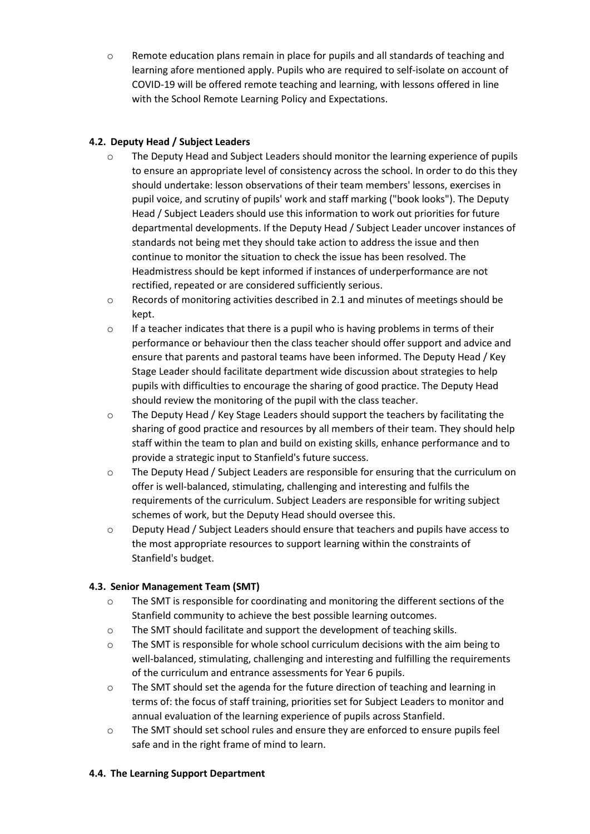o Remote education plans remain in place for pupils and all standards of teaching and learning afore mentioned apply. Pupils who are required to self-isolate on account of COVID-19 will be offered remote teaching and learning, with lessons offered in line with the School Remote Learning Policy and Expectations.

## **4.2. Deputy Head / Subject Leaders**

- o The Deputy Head and Subject Leaders should monitor the learning experience of pupils to ensure an appropriate level of consistency across the school. In order to do this they should undertake: lesson observations of their team members' lessons, exercises in pupil voice, and scrutiny of pupils' work and staff marking ("book looks"). The Deputy Head / Subject Leaders should use this information to work out priorities for future departmental developments. If the Deputy Head / Subject Leader uncover instances of standards not being met they should take action to address the issue and then continue to monitor the situation to check the issue has been resolved. The Headmistress should be kept informed if instances of underperformance are not rectified, repeated or are considered sufficiently serious.
- o Records of monitoring activities described in 2.1 and minutes of meetings should be kept.
- $\circ$  If a teacher indicates that there is a pupil who is having problems in terms of their performance or behaviour then the class teacher should offer support and advice and ensure that parents and pastoral teams have been informed. The Deputy Head / Key Stage Leader should facilitate department wide discussion about strategies to help pupils with difficulties to encourage the sharing of good practice. The Deputy Head should review the monitoring of the pupil with the class teacher.
- o The Deputy Head / Key Stage Leaders should support the teachers by facilitating the sharing of good practice and resources by all members of their team. They should help staff within the team to plan and build on existing skills, enhance performance and to provide a strategic input to Stanfield's future success.
- o The Deputy Head / Subject Leaders are responsible for ensuring that the curriculum on offer is well-balanced, stimulating, challenging and interesting and fulfils the requirements of the curriculum. Subject Leaders are responsible for writing subject schemes of work, but the Deputy Head should oversee this.
- o Deputy Head / Subject Leaders should ensure that teachers and pupils have access to the most appropriate resources to support learning within the constraints of Stanfield's budget.

## **4.3. Senior Management Team (SMT)**

- $\circ$  The SMT is responsible for coordinating and monitoring the different sections of the Stanfield community to achieve the best possible learning outcomes.
- o The SMT should facilitate and support the development of teaching skills.
- $\circ$  The SMT is responsible for whole school curriculum decisions with the aim being to well-balanced, stimulating, challenging and interesting and fulfilling the requirements of the curriculum and entrance assessments for Year 6 pupils.
- o The SMT should set the agenda for the future direction of teaching and learning in terms of: the focus of staff training, priorities set for Subject Leaders to monitor and annual evaluation of the learning experience of pupils across Stanfield.
- o The SMT should set school rules and ensure they are enforced to ensure pupils feel safe and in the right frame of mind to learn.

## **4.4. The Learning Support Department**